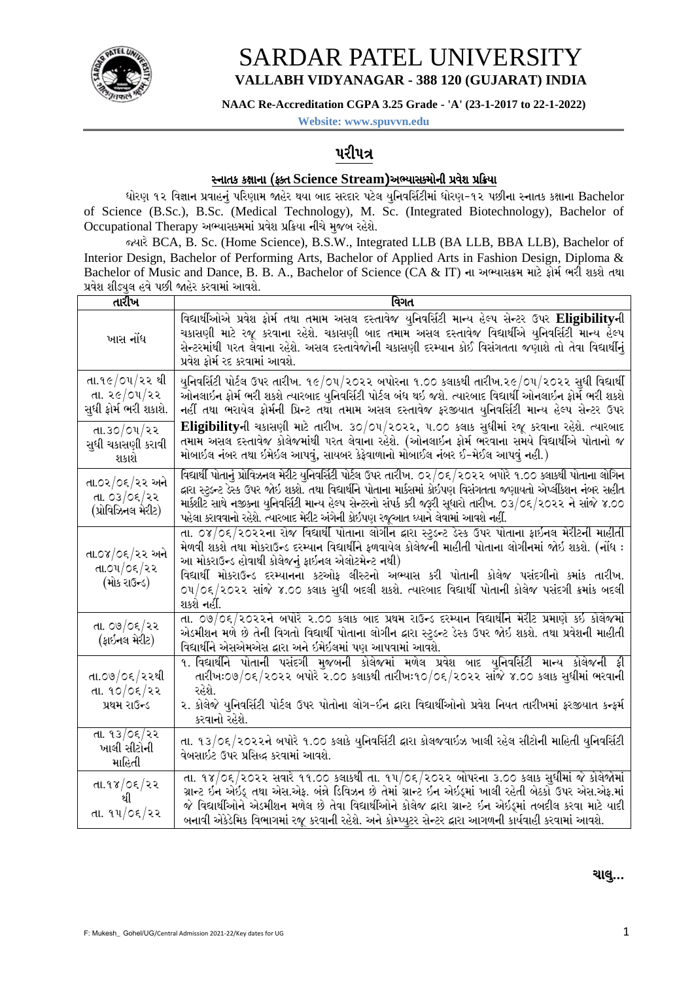

## **SARDAR PATEL UNIVERSITY** VALLABH VIDYANAGAR - 388 120 (GUJARAT) INDIA

NAAC Re-Accreditation CGPA 3.25 Grade - 'A' (23-1-2017 to 22-1-2022)

Website: www.spuvvn.edu

### ૫રી૫ત્ર

#### સ્નાતક કક્ષાના (ફક્ત Science Stream)અભ્યાસક્મોની પ્રવેશ પ્રક્રિયા

ધોરણ ૧૨ વિજ્ઞાન પ્રવાહનું પરિણામ જાહેર થયા બાદ સરદાર પટેલ યુનિવર્સિટીમાં ધોરણ-૧૨ પછીના સ્નાતક કક્ષાના Bachelor of Science (B.Sc.), B.Sc. (Medical Technology), M. Sc. (Integrated Biotechnology), Bachelor of Occupational Therapy અભ્યાસકમમાં પ્રવેશ પ્રક્રિયા નીચે મુજબ રહેશે.

જ્યારે BCA, B. Sc. (Home Science), B.S.W., Integrated LLB (BA LLB, BBA LLB), Bachelor of Interior Design, Bachelor of Performing Arts, Bachelor of Applied Arts in Fashion Design, Diploma & Bachelor of Music and Dance, B. B. A., Bachelor of Science (CA & IT) ના અભ્યાસક્રમ માટે ફોર્મ ભરી શકશે તથા પ્રવેશ શીડ્યુલ હવે પછી જાહેર કરવામાં આવશે.

| તારીખ                                                   | વિગત                                                                                                                                                                                                                                                                                                                                                                                                                                                                           |
|---------------------------------------------------------|--------------------------------------------------------------------------------------------------------------------------------------------------------------------------------------------------------------------------------------------------------------------------------------------------------------------------------------------------------------------------------------------------------------------------------------------------------------------------------|
| ખાસ નોંધ                                                | વિદ્યાર્થીઓએ પ્રવેશ ફોર્મ તથા તમામ અસલ દસ્તાવેજ યુનિવર્સિટી માન્ય હેલ્પ સેન્ટર ઉપર Eligibilityની<br>ચકાસણી માટે રજૂ કરવાના રહેશે. ચકાસણી બાદ તમામ અસલ દસ્તાવેજ વિદ્યાર્થીએ યુનિવર્સિટી માન્ય હેલ્પ<br>સેન્ટરમાંથી ૫રત લેવાના રહેશે. અસલ દસ્તાવેજોની ચકાસણી દરમ્યાન કોઈ વિસંગતતા જણાશે તો તેવા વિદ્યાર્થીનું<br>પ્રવેશ કોર્મ રદ કરવામાં આવશે.                                                                                                                                   |
| તા.૧૯/૦૫/૨૨ થી<br>તા. ૨૯/૦૫/૨૨<br>સુધી ફોર્મ ભરી શકાશે. | યુનિવર્સિટી પોર્ટલ ઉપર તારીખ. ૧૯/૦૫/૨૦૨૨ બપોરના ૧.૦૦ કલાકથી તારીખ.૨૯/૦૫/૨૦૨૨ સુધી વિદ્યાર્થી<br>ઓનલાઇન ફોર્મ ભરી શકશે ત્યારબાદ યુનિવર્સિટી પોર્ટલ બંધ થઇ જશે. ત્યારબાદ વિદ્યાર્થી ઓનલાઇન ફોર્મ ભરી શકશે<br>નહીં તથા ભરાયેલ ફોર્મની પ્રિન્ટ તથા તમામ અસલ દસ્તાવેજ ફરજીયાત યુનિવર્સિટી માન્ય હેલ્પ સેન્ટર ઉપર                                                                                                                                                                    |
| તા.૩૦/૦૫/૨૨<br>સુધી ચકાસણી કરાવી<br>શકાશે               | Eligibilityની ચકાસણી માટે તારીખ. ૩૦/૦૫/૨૦૨૨, ૫.૦૦ કલાક સુધીમાં રજૂ કરવાના રહેશે. ત્યારબાદ<br>તમામ અસલ દસ્તાવેજ કોલેજમાંથી ૫રત લેવાના રહેશે. (ઓનલાઇન ફોર્મ ભરવાના સમયે વિદ્યાર્થીએ પોતાનો જ<br>મોબાઇલ નંબર તથા ઇમેઇલ આપવું, સાયબર કેફેવાળાનો મોબાઈલ નંબર ઈ-મેઈલ આપવું નહી.)                                                                                                                                                                                                     |
| તા.૦૨/૦૬/૨૨ અને<br>તા. ૦૩/૦૬/૨૨<br>(પ્રોવિઝિનલ મેરીટ)   | વિદ્યાર્થી પોતાનું પ્રોવિઝનલ મેરીટ યુનિવર્સિટી પોર્ટલ ઉપર તારીખ. ૦૨/૦૬/૨૦૨૨ બપોરે ૧.૦૦ ક્લાકથી પોતાના લોગિન<br>દ્નારા સ્ટુડન્ટ ડેસ્ક ઉપર જોઇ શકશે. તથા વિદ્યાર્થીને પોતાના માર્કસમાં કોઇપણ વિસંગતતા જણાયતો એપ્લીકેશન નંબર સહીત<br>માર્કશીટ સાથે નજીકના યુનિવર્સિટી માન્ય હેલ્પ સેન્ટરનો સંપર્ક કરી જરૂરી સૂધારો તારીખ. ૦૩/૦૬/૨૦૨૨ ને સાંજે ૪.૦૦<br>પહેલા કરાવવાનો રહેશે. ત્યારબાદ મેરીટ અંગેની કોઈપણ રજૂઆત ઘ્યાને લેવામાં આવશે નહીં.                                           |
| તા.૦૪/૦૬/૨૨ અને<br>તા.૦૫/૦૬/૨૨<br>(મોક રાઉન્ડ)          | તા. ૦૪/૦૬/૨૦૨૨ના રોજ વિદ્યાર્થી પોતાના લોગીન દ્વારા સ્ટુડન્ટ ડેસ્ક ઉપર પોતાના ફાઇનલ મેરીટની માહીતી<br>મેળવી શકશે તથા મોકરાઉન્ડ દરમ્યાન વિદ્યાર્થીને ફળવાયેલ કોલેજની માહીતી પોતાના લોગીનમાં જોઇ શકશે. (નોંધ :<br>આ મોકરાઉન્ડ હોવાથી કોલેજનું ફાઇનલ એલોટમેન્ટ નથી)<br>વિદ્યાર્થી મોકરાઉન્ડ દરમ્યાનના કટઓફ લીસ્ટનો અભ્યાસ કરી પોતાની કોલેજ પસંદગીનો કમાંક તારીખ.<br>૦૫/૦૬/૨૦૨૨ સાંજે ૪.૦૦ કલાક સુધી બદલી શકશે. ત્યારબાદ વિદ્યાર્થી પોતાની કોલેજ પસંદગી ક્રમાંક બદલી<br>શકશે નહીં. |
| તા. ૦૭/૦૬/૨૨<br>(ફાઇનલ મેરીટ)                           | તા. ૦૭/૦૬/૨૦૨૨ને બપોરે ૨.૦૦ કલાક બાદ પ્રથમ રાઉન્ડ દરમ્યાન વિદ્યાર્થીને મેરીટ પ્રમાણે કઇ કોલેજમાં<br>એડમીશન મળે છે તેની વિગતો વિદ્યાર્થી પોતાના લોગીન દ્વારા સ્ટુડન્ટ ડેસ્ક ઉપર જોઇ શકશે. તથા પ્રવેશની માહીતી<br>વિદ્યાર્થીને એસએમએસ દ્વારા અને ઇમેઇલમાં પણ આપવામાં આવશે.                                                                                                                                                                                                       |
| તા.૦૭/૦૬/૨૨થી<br>તા. ૧૦/૦૬/૨૨ $\,$<br>પ્રથમ રાઉન્ડ      | ૧. વિદ્યાર્થીને પોતાની પસંદગી મુજબની કોલેજમાં મળેલ પ્રવેશ બાદ યુનિવર્સિટી માન્ય કોલેજની ફી<br>તારીખઃ૦૭/૦૬/૨૦૨૨ બપોરે ૨.૦૦ કલાકથી તારીખઃ૧૦/૦૬/૨૦૨૨ સાંજે ૪.૦૦ કલાક સુધીમાં ભરવાની<br>રહેશે.<br>૨. કોલેજે યુનિવર્સિટી પોર્ટલ ઉપર પોતોના લોગ-ઈન દ્વારા વિદ્યાર્થીઓનો પ્રવેશ નિયત તારીખમાં ફરજીયાત કન્ફર્મ<br>કરવાનો રહેશે.                                                                                                                                                        |
| તા. ૧૩/૦૬/૨૨<br>ખાલી સીટોની<br>માહિતી                   | તા. ૧૩/૦૬/૨૦૨૨ને બપોરે ૧.૦૦ કલાકે યુનિવર્સિટી દ્વારા કોલજવાઇઝ ખાલી રહેલ સીટોની માહિતી યુનિવર્સિટી<br>વેબસાઇટ ઉપર પ્રસિદ્ધ કરવામાં આવશે.                                                                                                                                                                                                                                                                                                                                        |
| તા.૧૪/૦૬/૨૨<br>થી<br>તા. ૧૫/૦૬/૨૨                       | તા. ૧૪/૦૬/૨૦૨૨ સવારે ૧૧.૦૦ કલાકથી તા. ૧૫/૦૬/૨૦૨૨ બોપરના ૩.૦૦ કલાક સુધીમાં જે કોલેજોમાં<br>ગ્રાન્ટ ઇન એઇડ્ તથા એસ.એફ. બંન્ને ડિવિઝન છે તેમાં ગ્રાન્ટ ઇન એઇડ્માં ખાલી રહેતી બેઠકો ઉપર એસ.એફ.માં<br>જે વિદ્યાર્થીઓને એડમીશન મળેલ છે તેવા વિદ્યાર્થીઓને કોલેજ દ્વારા ગ્રાન્ટ ઇન એઇડ્માં તબદીલ કરવા માટે યાદી<br>બનાવી એકેડેમિક વિભાગમાં રજૂ કરવાની રહેશે. અને કોમ્પ્યુટર સેન્ટર દ્રારા આગળની કાર્યવાહી કરવામાં આવશે.                                                               |

ચાલુ...